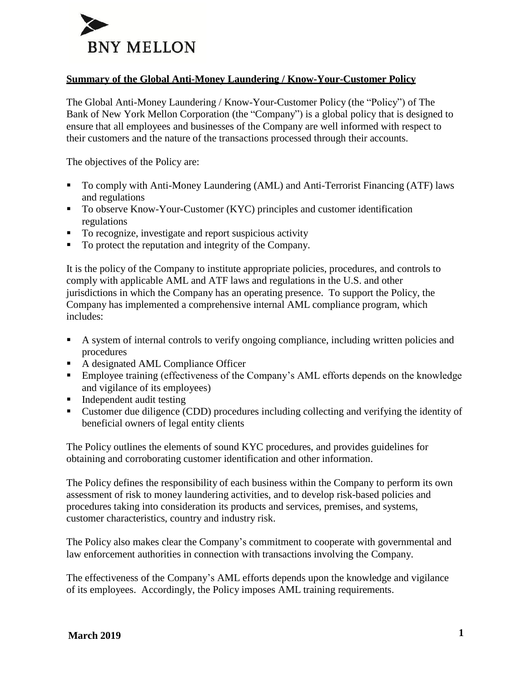

## **Summary of the Global Anti-Money Laundering / Know-Your-Customer Policy**

The Global Anti-Money Laundering / Know-Your-Customer Policy (the "Policy") of The Bank of New York Mellon Corporation (the "Company") is a global policy that is designed to ensure that all employees and businesses of the Company are well informed with respect to their customers and the nature of the transactions processed through their accounts.

The objectives of the Policy are:

- To comply with Anti-Money Laundering (AML) and Anti-Terrorist Financing (ATF) laws and regulations
- To observe Know-Your-Customer (KYC) principles and customer identification regulations
- To recognize, investigate and report suspicious activity
- To protect the reputation and integrity of the Company.

It is the policy of the Company to institute appropriate policies, procedures, and controls to comply with applicable AML and ATF laws and regulations in the U.S. and other jurisdictions in which the Company has an operating presence. To support the Policy, the Company has implemented a comprehensive internal AML compliance program, which includes:

- A system of internal controls to verify ongoing compliance, including written policies and procedures
- A designated AML Compliance Officer
- Employee training (effectiveness of the Company's AML efforts depends on the knowledge and vigilance of its employees)
- Independent audit testing
- Customer due diligence (CDD) procedures including collecting and verifying the identity of beneficial owners of legal entity clients

The Policy outlines the elements of sound KYC procedures, and provides guidelines for obtaining and corroborating customer identification and other information.

The Policy defines the responsibility of each business within the Company to perform its own assessment of risk to money laundering activities, and to develop risk-based policies and procedures taking into consideration its products and services, premises, and systems, customer characteristics, country and industry risk.

The Policy also makes clear the Company's commitment to cooperate with governmental and law enforcement authorities in connection with transactions involving the Company.

The effectiveness of the Company's AML efforts depends upon the knowledge and vigilance of its employees. Accordingly, the Policy imposes AML training requirements.